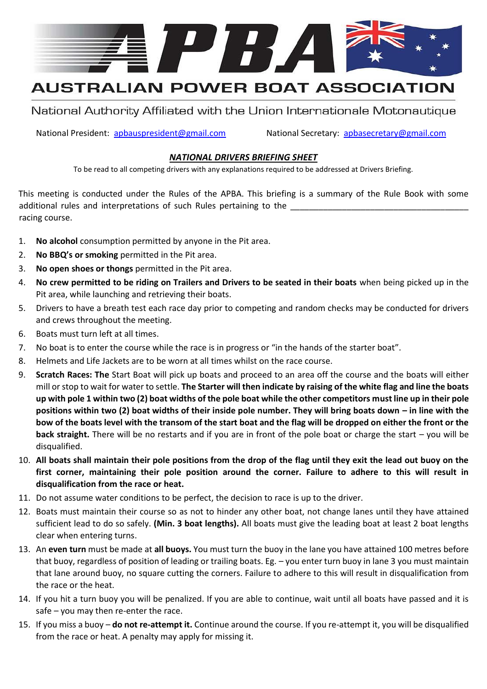

# **AUSTRALIAN POWER BOAT ASSOCIATION**

National Authority Affiliated with the Union Internationale Motonautique

National President: apbauspresident@gmail.com National Secretary: apbasecretary@gmail.com

### *NATIONAL DRIVERS BRIEFING SHEET*

To be read to all competing drivers with any explanations required to be addressed at Drivers Briefing.

This meeting is conducted under the Rules of the APBA. This briefing is a summary of the Rule Book with some additional rules and interpretations of such Rules pertaining to the racing course.

- 1. **No alcohol** consumption permitted by anyone in the Pit area.
- 2. **No BBQ's or smoking** permitted in the Pit area.
- 3. **No open shoes or thongs** permitted in the Pit area.
- 4. **No crew permitted to be riding on Trailers and Drivers to be seated in their boats** when being picked up in the Pit area, while launching and retrieving their boats.
- 5. Drivers to have a breath test each race day prior to competing and random checks may be conducted for drivers and crews throughout the meeting.
- 6. Boats must turn left at all times.
- 7. No boat is to enter the course while the race is in progress or "in the hands of the starter boat".
- 8. Helmets and Life Jackets are to be worn at all times whilst on the race course.
- 9. **Scratch Races: The** Start Boat will pick up boats and proceed to an area off the course and the boats will either mill or stop to wait for water to settle. **The Starter will then indicate by raising of the white flag and line the boats up with pole 1 within two (2) boat widths of the pole boat while the other competitors must line up in their pole positions within two (2) boat widths of their inside pole number. They will bring boats down – in line with the bow of the boats level with the transom of the start boat and the flag will be dropped on either the front or the back straight.** There will be no restarts and if you are in front of the pole boat or charge the start – you will be disqualified.
- 10. **All boats shall maintain their pole positions from the drop of the flag until they exit the lead out buoy on the first corner, maintaining their pole position around the corner. Failure to adhere to this will result in disqualification from the race or heat.**
- 11. Do not assume water conditions to be perfect, the decision to race is up to the driver.
- 12. Boats must maintain their course so as not to hinder any other boat, not change lanes until they have attained sufficient lead to do so safely. **(Min. 3 boat lengths).** All boats must give the leading boat at least 2 boat lengths clear when entering turns.
- 13. An **even turn** must be made at **all buoys.** You must turn the buoy in the lane you have attained 100 metres before that buoy, regardless of position of leading or trailing boats. Eg. – you enter turn buoy in lane 3 you must maintain that lane around buoy, no square cutting the corners. Failure to adhere to this will result in disqualification from the race or the heat.
- 14. If you hit a turn buoy you will be penalized. If you are able to continue, wait until all boats have passed and it is safe – you may then re-enter the race.
- 15. If you miss a buoy **do not re-attempt it.** Continue around the course. If you re-attempt it, you will be disqualified from the race or heat. A penalty may apply for missing it.